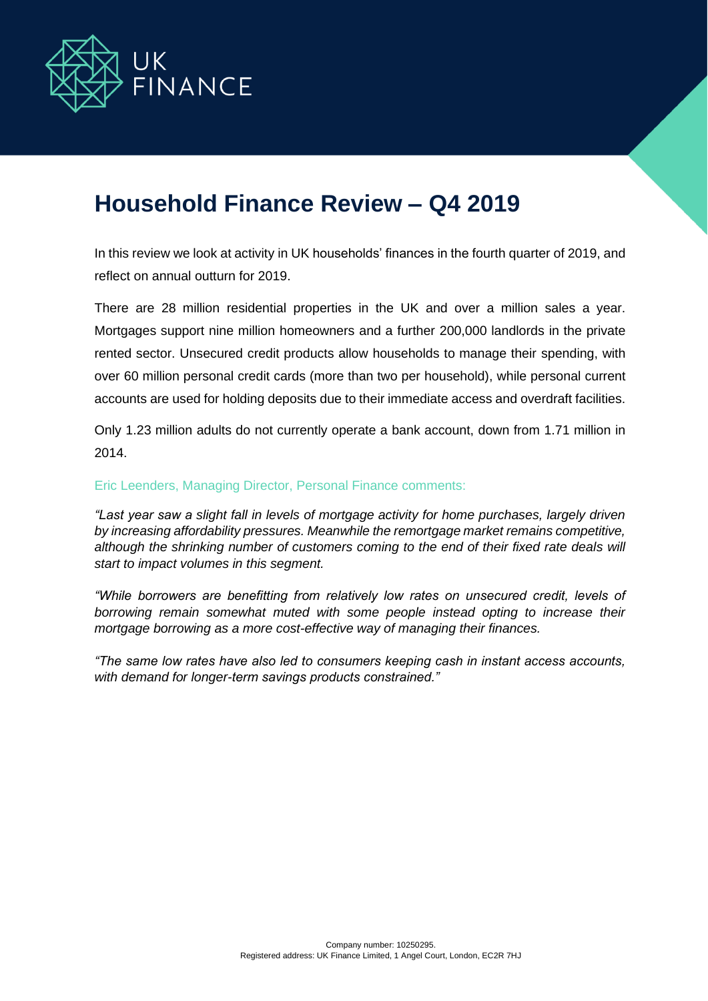

# **Household Finance Review – Q4 2019**

In this review we look at activity in UK households' finances in the fourth quarter of 2019, and reflect on annual outturn for 2019.

There are 28 million residential properties in the UK and over a million sales a year. Mortgages support nine million homeowners and a further 200,000 landlords in the private rented sector. Unsecured credit products allow households to manage their spending, with over 60 million personal credit cards (more than two per household), while personal current accounts are used for holding deposits due to their immediate access and overdraft facilities.

Only 1.23 million adults do not currently operate a bank account, down from 1.71 million in 2014.

# Eric Leenders, Managing Director, Personal Finance comments:

*"Last year saw a slight fall in levels of mortgage activity for home purchases, largely driven by increasing affordability pressures. Meanwhile the remortgage market remains competitive,*  although the shrinking number of customers coming to the end of their fixed rate deals will *start to impact volumes in this segment.*

*"While borrowers are benefitting from relatively low rates on unsecured credit, levels of borrowing remain somewhat muted with some people instead opting to increase their mortgage borrowing as a more cost-effective way of managing their finances.*

*"The same low rates have also led to consumers keeping cash in instant access accounts, with demand for longer-term savings products constrained."*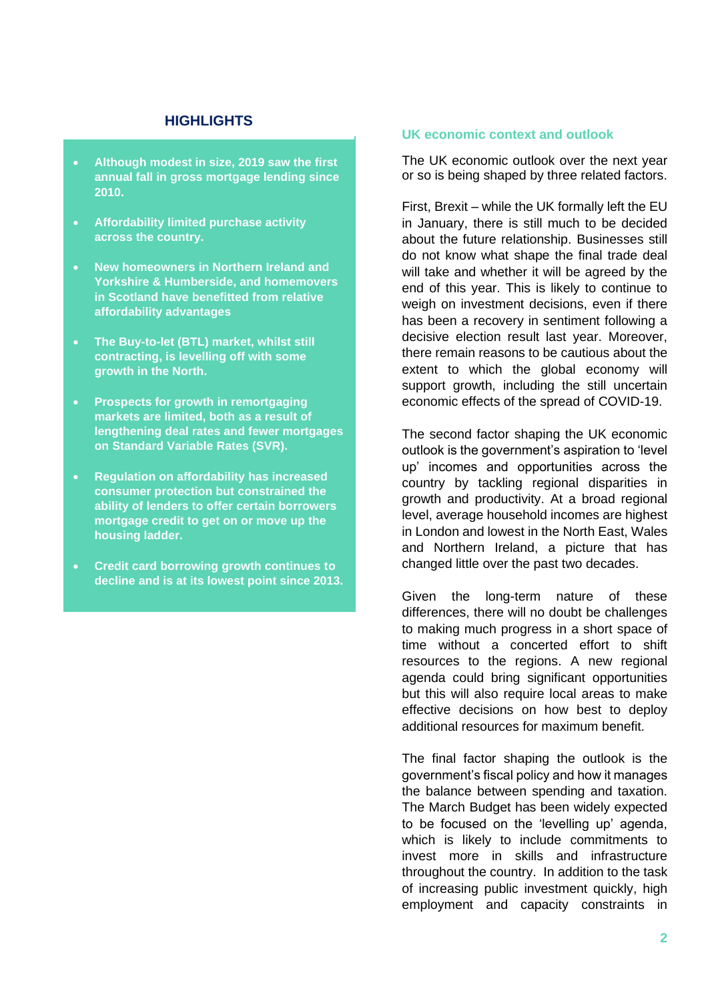# **HIGHLIGHTS**

- **Although modest in size, 2019 saw the first annual fall in gross mortgage lending since 2010.**
- **Affordability limited purchase activity across the country.**
- **New homeowners in Northern Ireland and Yorkshire & Humberside, and homemovers in Scotland have benefitted from relative affordability advantages**
- **The Buy-to-let (BTL) market, whilst still contracting, is levelling off with some growth in the North.**
- **Prospects for growth in remortgaging markets are limited, both as a result of lengthening deal rates and fewer mortgages on Standard Variable Rates (SVR).**
- **Regulation on affordability has increased consumer protection but constrained the ability of lenders to offer certain borrowers mortgage credit to get on or move up the housing ladder.**
- **Credit card borrowing growth continues to decline and is at its lowest point since 2013.**

## **UK economic context and outlook**

The UK economic outlook over the next year or so is being shaped by three related factors.

First, Brexit – while the UK formally left the EU in January, there is still much to be decided about the future relationship. Businesses still do not know what shape the final trade deal will take and whether it will be agreed by the end of this year. This is likely to continue to weigh on investment decisions, even if there has been a recovery in sentiment following a decisive election result last year. Moreover, there remain reasons to be cautious about the extent to which the global economy will support growth, including the still uncertain economic effects of the spread of COVID-19.

The second factor shaping the UK economic outlook is the government's aspiration to 'level up' incomes and opportunities across the country by tackling regional disparities in growth and productivity. At a broad regional level, average household incomes are highest in London and lowest in the North East, Wales and Northern Ireland, a picture that has changed little over the past two decades.

Given the long-term nature of these differences, there will no doubt be challenges to making much progress in a short space of time without a concerted effort to shift resources to the regions. A new regional agenda could bring significant opportunities but this will also require local areas to make effective decisions on how best to deploy additional resources for maximum benefit.

The final factor shaping the outlook is the government's fiscal policy and how it manages the balance between spending and taxation. The March Budget has been widely expected to be focused on the 'levelling up' agenda, which is likely to include commitments to invest more in skills and infrastructure throughout the country. In addition to the task of increasing public investment quickly, high employment and capacity constraints in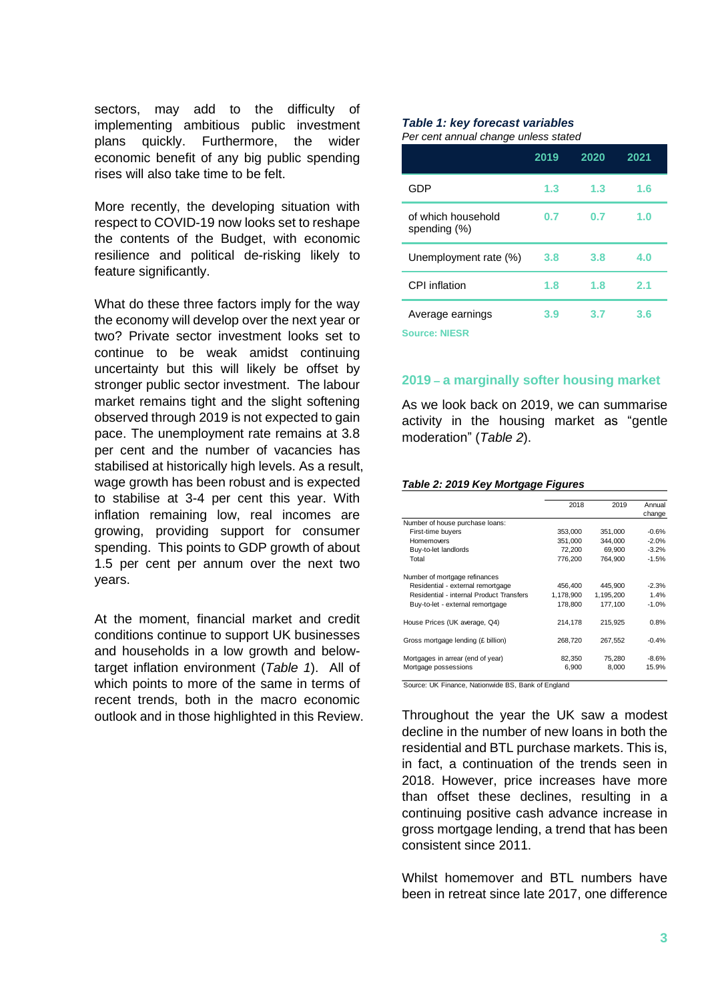sectors, may add to the difficulty of implementing ambitious public investment plans quickly. Furthermore, the wider economic benefit of any big public spending rises will also take time to be felt.

More recently, the developing situation with respect to COVID-19 now looks set to reshape the contents of the Budget, with economic resilience and political de-risking likely to feature significantly.

What do these three factors imply for the way the economy will develop over the next year or two? Private sector investment looks set to continue to be weak amidst continuing uncertainty but this will likely be offset by stronger public sector investment. The labour market remains tight and the slight softening observed through 2019 is not expected to gain pace. The unemployment rate remains at 3.8 per cent and the number of vacancies has stabilised at historically high levels. As a result, wage growth has been robust and is expected to stabilise at 3-4 per cent this year. With inflation remaining low, real incomes are growing, providing support for consumer spending. This points to GDP growth of about 1.5 per cent per annum over the next two years.

At the moment, financial market and credit conditions continue to support UK businesses and households in a low growth and belowtarget inflation environment (*Table 1*). All of which points to more of the same in terms of recent trends, both in the macro economic outlook and in those highlighted in this Review.

#### *Table 1: key forecast variables Per cent annual change unless stated*

|                                          | 2019 | 2020 | 2021 |
|------------------------------------------|------|------|------|
| GDP                                      | 1.3  | 1.3  | 1.6  |
| of which household<br>spending (%)       | 0.7  | 0.7  | 1.0  |
| Unemployment rate (%)                    | 3.8  | 3.8  | 4.0  |
| CPI inflation                            | 1.8  | 1.8  | 2.1  |
| Average earnings<br><b>Source: NIESR</b> | 3.9  | 3.7  | 3.6  |

## **2019 – a marginally softer housing market**

As we look back on 2019, we can summarise activity in the housing market as "gentle moderation" (*Table 2*).

### *Table 2: 2019 Key Mortgage Figures*

|                                          | 2018      | 2019      | Annual  |
|------------------------------------------|-----------|-----------|---------|
|                                          |           |           | change  |
| Number of house purchase loans:          |           |           |         |
| First-time buyers                        | 353,000   | 351,000   | $-0.6%$ |
| <b>Homemovers</b>                        | 351,000   | 344,000   | $-2.0%$ |
| Buy-to-let landlords                     | 72.200    | 69.900    | $-3.2%$ |
| Total                                    | 776,200   | 764.900   | $-1.5%$ |
| Number of mortgage refinances            |           |           |         |
| Residential - external remortgage        | 456,400   | 445,900   | $-2.3%$ |
| Residential - internal Product Transfers | 1,178,900 | 1.195.200 | 1.4%    |
| Buy-to-let - external remortgage         | 178,800   | 177.100   | $-1.0%$ |
| House Prices (UK average, Q4)            | 214.178   | 215.925   | 0.8%    |
| Gross mortgage lending (£ billion)       | 268,720   | 267.552   | $-0.4%$ |
| Mortgages in arrear (end of year)        | 82,350    | 75.280    | $-8.6%$ |
| Mortgage possessions                     | 6,900     | 8,000     | 15.9%   |

Source: UK Finance, Nationwide BS, Bank of England

Throughout the year the UK saw a modest decline in the number of new loans in both the residential and BTL purchase markets. This is, in fact, a continuation of the trends seen in 2018. However, price increases have more than offset these declines, resulting in a continuing positive cash advance increase in gross mortgage lending, a trend that has been consistent since 2011.

Whilst homemover and BTL numbers have been in retreat since late 2017, one difference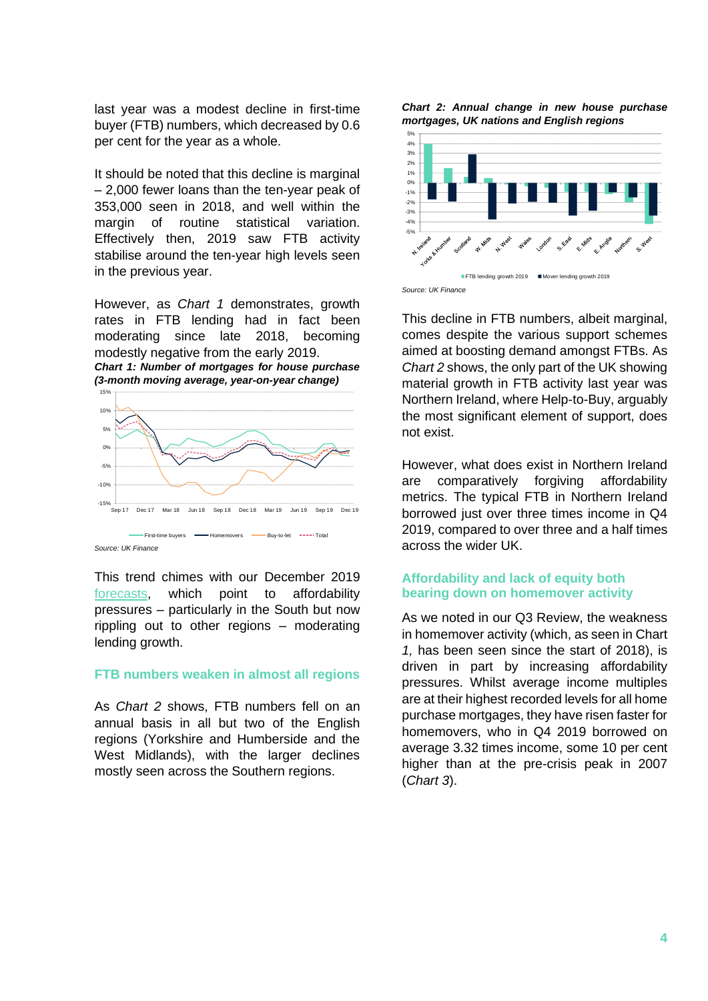last year was a modest decline in first-time buyer (FTB) numbers, which decreased by 0.6 per cent for the year as a whole.

It should be noted that this decline is marginal – 2,000 fewer loans than the ten-year peak of 353,000 seen in 2018, and well within the margin of routine statistical variation. Effectively then, 2019 saw FTB activity stabilise around the ten-year high levels seen in the previous year.

However, as *Chart 1* demonstrates, growth rates in FTB lending had in fact been moderating since late 2018, becoming modestly negative from the early 2019. *Chart 1: Number of mortgages for house purchase (3-month moving average, year-on-year change)*



*Source: UK Finance*

15%

This trend chimes with our December 2019 [forecasts,](https://www.ukfinance.org.uk/sites/default/files/uploads/Data%20(XLS%20and%20PDF)/20191218%20Household%20Finance%20Review%202019%20Q3.pdf) which point to affordability pressures – particularly in the South but now rippling out to other regions – moderating lending growth.

## **FTB numbers weaken in almost all regions**

As *Chart 2* shows, FTB numbers fell on an annual basis in all but two of the English regions (Yorkshire and Humberside and the West Midlands), with the larger declines mostly seen across the Southern regions.

*Chart 2: Annual change in new house purchase mortgages, UK nations and English regions*



This decline in FTB numbers, albeit marginal, comes despite the various support schemes aimed at boosting demand amongst FTBs. As *Chart 2* shows, the only part of the UK showing material growth in FTB activity last year was Northern Ireland, where Help-to-Buy, arguably the most significant element of support, does not exist.

However, what does exist in Northern Ireland are comparatively forgiving affordability metrics. The typical FTB in Northern Ireland borrowed just over three times income in Q4 2019, compared to over three and a half times across the wider UK.

# **Affordability and lack of equity both bearing down on homemover activity**

As we noted in our Q3 Review, the weakness in homemover activity (which, as seen in Chart *1,* has been seen since the start of 2018), is driven in part by increasing affordability pressures. Whilst average income multiples are at their highest recorded levels for all home purchase mortgages, they have risen faster for homemovers, who in Q4 2019 borrowed on average 3.32 times income, some 10 per cent higher than at the pre-crisis peak in 2007 (*Chart 3*).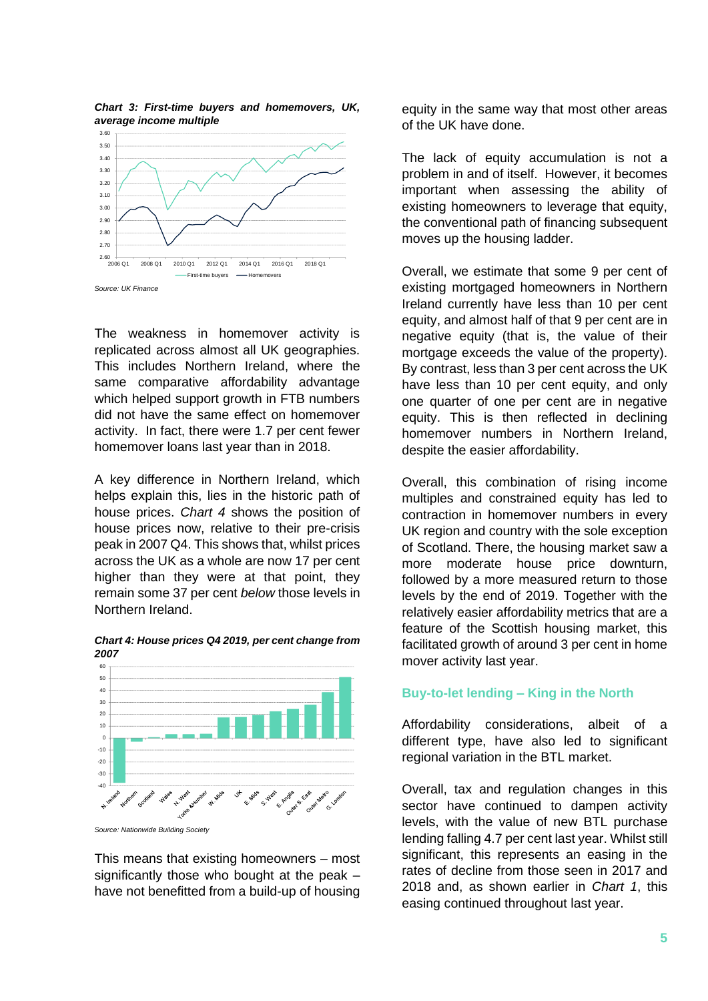*Chart 3: First-time buyers and homemovers, UK, average income multiple*



The weakness in homemover activity is replicated across almost all UK geographies. This includes Northern Ireland, where the same comparative affordability advantage which helped support growth in FTB numbers did not have the same effect on homemover activity. In fact, there were 1.7 per cent fewer homemover loans last year than in 2018.

A key difference in Northern Ireland, which helps explain this, lies in the historic path of house prices. *Chart 4* shows the position of house prices now, relative to their pre-crisis peak in 2007 Q4. This shows that, whilst prices across the UK as a whole are now 17 per cent higher than they were at that point, they remain some 37 per cent *below* those levels in Northern Ireland.



*Chart 4: House prices Q4 2019, per cent change from 2007* 

This means that existing homeowners – most significantly those who bought at the peak – have not benefitted from a build-up of housing equity in the same way that most other areas of the UK have done.

The lack of equity accumulation is not a problem in and of itself. However, it becomes important when assessing the ability of existing homeowners to leverage that equity, the conventional path of financing subsequent moves up the housing ladder.

Overall, we estimate that some 9 per cent of existing mortgaged homeowners in Northern Ireland currently have less than 10 per cent equity, and almost half of that 9 per cent are in negative equity (that is, the value of their mortgage exceeds the value of the property). By contrast, less than 3 per cent across the UK have less than 10 per cent equity, and only one quarter of one per cent are in negative equity. This is then reflected in declining homemover numbers in Northern Ireland, despite the easier affordability.

Overall, this combination of rising income multiples and constrained equity has led to contraction in homemover numbers in every UK region and country with the sole exception of Scotland. There, the housing market saw a more moderate house price downturn, followed by a more measured return to those levels by the end of 2019. Together with the relatively easier affordability metrics that are a feature of the Scottish housing market, this facilitated growth of around 3 per cent in home mover activity last year.

# **Buy-to-let lending – King in the North**

Affordability considerations, albeit of a different type, have also led to significant regional variation in the BTL market.

Overall, tax and regulation changes in this sector have continued to dampen activity levels, with the value of new BTL purchase lending falling 4.7 per cent last year. Whilst still significant, this represents an easing in the rates of decline from those seen in 2017 and 2018 and, as shown earlier in *Chart 1*, this easing continued throughout last year.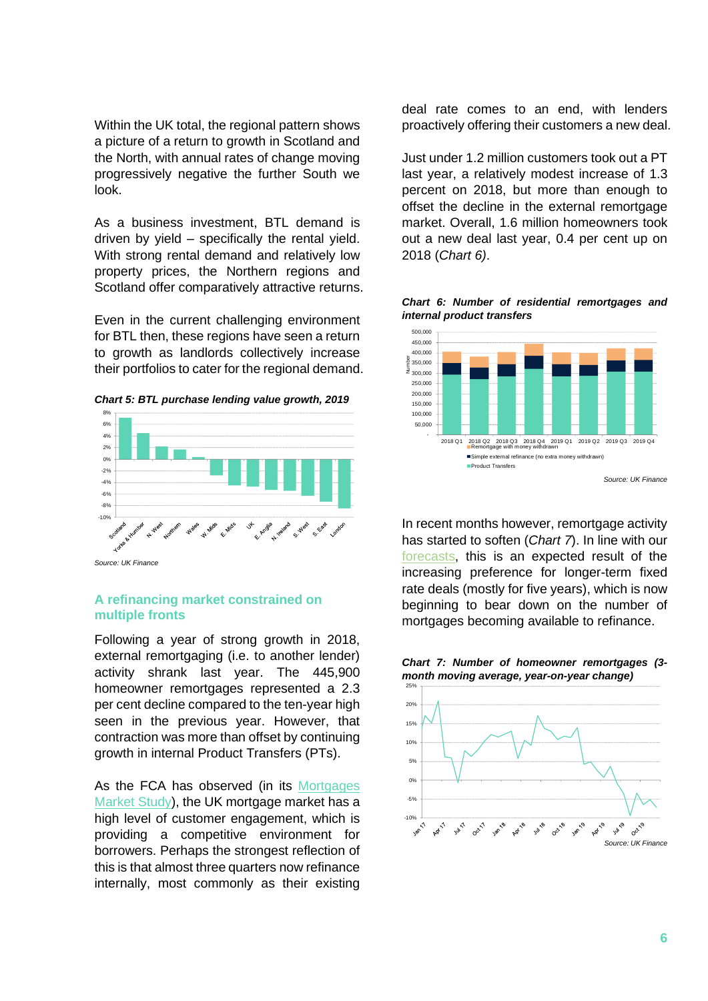Within the UK total, the regional pattern shows a picture of a return to growth in Scotland and the North, with annual rates of change moving progressively negative the further South we look.

As a business investment, BTL demand is driven by yield – specifically the rental yield. With strong rental demand and relatively low property prices, the Northern regions and Scotland offer comparatively attractive returns.

Even in the current challenging environment for BTL then, these regions have seen a return to growth as landlords collectively increase their portfolios to cater for the regional demand.

*Chart 5: BTL purchase lending value growth, 2019*



*Source: UK Finance*

# **A refinancing market constrained on multiple fronts**

Following a year of strong growth in 2018, external remortgaging (i.e. to another lender) activity shrank last year. The 445,900 homeowner remortgages represented a 2.3 per cent decline compared to the ten-year high seen in the previous year. However, that contraction was more than offset by continuing growth in internal Product Transfers (PTs).

As the FCA has observed (in its [Mortgages](https://www.fca.org.uk/publication/market-studies/ms16-2-2-interim-report.pdf)  [Market Study\)](https://www.fca.org.uk/publication/market-studies/ms16-2-2-interim-report.pdf), the UK mortgage market has a high level of customer engagement, which is providing a competitive environment for borrowers. Perhaps the strongest reflection of this is that almost three quarters now refinance internally, most commonly as their existing

deal rate comes to an end, with lenders proactively offering their customers a new deal.

Just under 1.2 million customers took out a PT last year, a relatively modest increase of 1.3 percent on 2018, but more than enough to offset the decline in the external remortgage market. Overall, 1.6 million homeowners took out a new deal last year, 0.4 per cent up on 2018 (*Chart 6)*.

*Chart 6: Number of residential remortgages and internal product transfers*



In recent months however, remortgage activity has started to soften (*Chart 7*). In line with our [forecasts,](https://www.ukfinance.org.uk/sites/default/files/uploads/Data%20(XLS%20and%20PDF)/20191218%20Household%20Finance%20Review%202019%20Q3.pdf) this is an expected result of the increasing preference for longer-term fixed rate deals (mostly for five years), which is now beginning to bear down on the number of mortgages becoming available to refinance.

*Chart 7: Number of homeowner remortgages (3 month moving average, year-on-year change)*

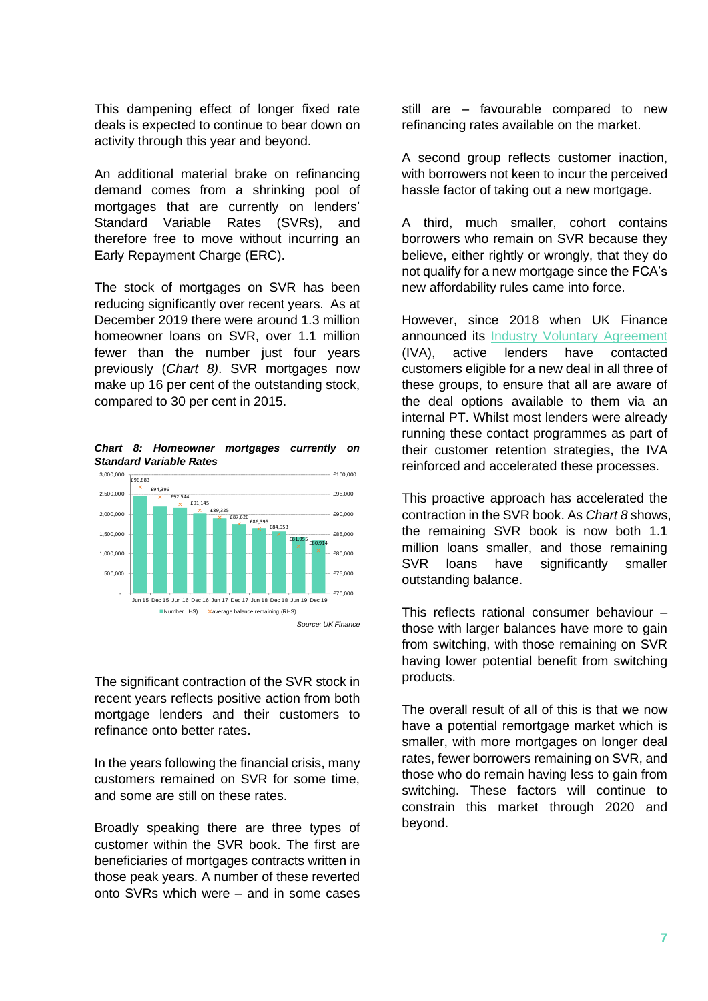This dampening effect of longer fixed rate deals is expected to continue to bear down on activity through this year and beyond.

An additional material brake on refinancing demand comes from a shrinking pool of mortgages that are currently on lenders' Standard Variable Rates (SVRs), and therefore free to move without incurring an Early Repayment Charge (ERC).

The stock of mortgages on SVR has been reducing significantly over recent years. As at December 2019 there were around 1.3 million homeowner loans on SVR, over 1.1 million fewer than the number just four years previously (*Chart 8)*. SVR mortgages now make up 16 per cent of the outstanding stock, compared to 30 per cent in 2015.

*Chart 8: Homeowner mortgages currently on Standard Variable Rates*



The significant contraction of the SVR stock in recent years reflects positive action from both mortgage lenders and their customers to refinance onto better rates.

In the years following the financial crisis, many customers remained on SVR for some time, and some are still on these rates.

Broadly speaking there are three types of customer within the SVR book. The first are beneficiaries of mortgages contracts written in those peak years. A number of these reverted onto SVRs which were – and in some cases

still are – favourable compared to new refinancing rates available on the market.

A second group reflects customer inaction, with borrowers not keen to incur the perceived hassle factor of taking out a new mortgage.

A third, much smaller, cohort contains borrowers who remain on SVR because they believe, either rightly or wrongly, that they do not qualify for a new mortgage since the FCA's new affordability rules came into force.

However, since 2018 when UK Finance announced its [Industry Voluntary Agreement](https://www.ukfinance.org.uk/lenders-help-ineligible-homeowners-tied-reversion-rates-switch-products) (IVA), active lenders have contacted customers eligible for a new deal in all three of these groups, to ensure that all are aware of the deal options available to them via an internal PT. Whilst most lenders were already running these contact programmes as part of their customer retention strategies, the IVA reinforced and accelerated these processes.

This proactive approach has accelerated the contraction in the SVR book. As *Chart 8* shows, the remaining SVR book is now both 1.1 million loans smaller, and those remaining SVR loans have significantly smaller outstanding balance.

This reflects rational consumer behaviour – those with larger balances have more to gain from switching, with those remaining on SVR having lower potential benefit from switching products.

The overall result of all of this is that we now have a potential remortgage market which is smaller, with more mortgages on longer deal rates, fewer borrowers remaining on SVR, and those who do remain having less to gain from switching. These factors will continue to constrain this market through 2020 and beyond.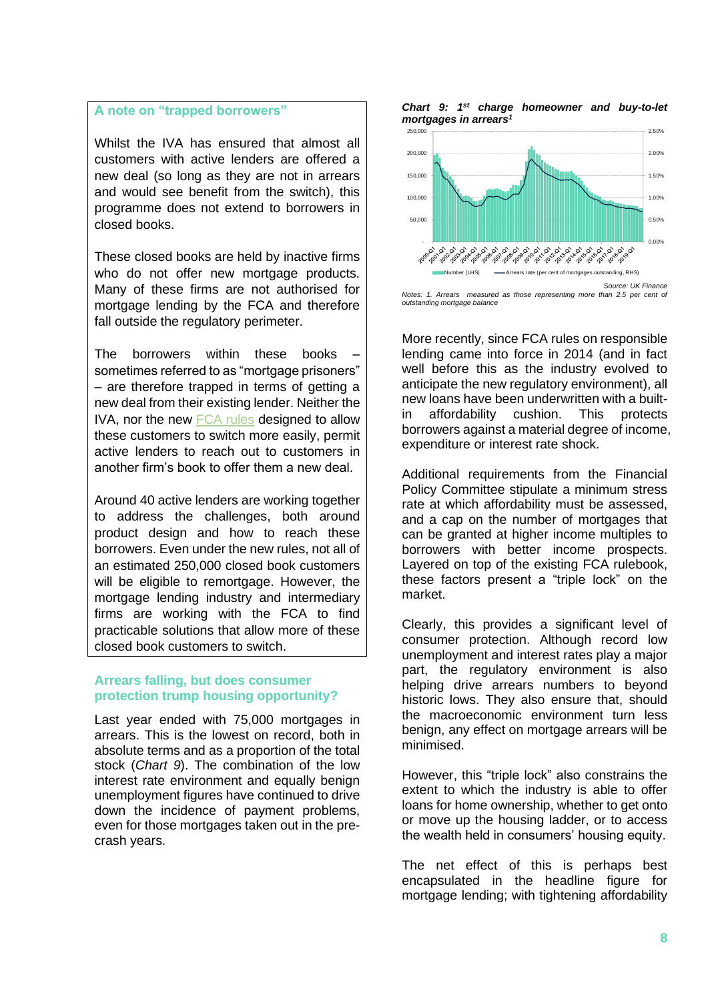## **A note on "trapped borrowers"**

Whilst the IVA has ensured that almost all customers with active lenders are offered a new deal (so long as they are not in arrears and would see benefit from the switch), this programme does not extend to borrowers in closed books.

These closed books are held by inactive firms who do not offer new mortgage products. Many of these firms are not authorised for mortgage lending by the FCA and therefore fall outside the regulatory perimeter.

The borrowers within these books sometimes referred to as "mortgage prisoners" – are therefore trapped in terms of getting a new deal from their existing lender. Neither the IVA, nor the new [FCA rules](https://www.fca.org.uk/news/press-releases/fca-confirms-help-mortgage-prisoners) designed to allow these customers to switch more easily, permit active lenders to reach out to customers in another firm's book to offer them a new deal.

Around 40 active lenders are working together to address the challenges, both around product design and how to reach these borrowers. Even under the new rules, not all of an estimated 250,000 closed book customers will be eligible to remortgage. However, the mortgage lending industry and intermediary firms are working with the FCA to find practicable solutions that allow more of these closed book customers to switch.

## **Arrears falling, but does consumer protection trump housing opportunity?**

Last year ended with 75,000 mortgages in arrears. This is the lowest on record, both in absolute terms and as a proportion of the total stock (*Chart 9*). The combination of the low interest rate environment and equally benign unemployment figures have continued to drive down the incidence of payment problems, even for those mortgages taken out in the precrash years.





*Notes: 1. Arrears measured as those representing more than 2.5 per cent of outstanding mortgage balance*

More recently, since FCA rules on responsible lending came into force in 2014 (and in fact well before this as the industry evolved to anticipate the new regulatory environment), all new loans have been underwritten with a builtin affordability cushion. This protects borrowers against a material degree of income, expenditure or interest rate shock.

Additional requirements from the Financial Policy Committee stipulate a minimum stress rate at which affordability must be assessed, and a cap on the number of mortgages that can be granted at higher income multiples to borrowers with better income prospects. Layered on top of the existing FCA rulebook, these factors present a "triple lock" on the market.

Clearly, this provides a significant level of consumer protection. Although record low unemployment and interest rates play a major part, the regulatory environment is also helping drive arrears numbers to beyond historic lows. They also ensure that, should the macroeconomic environment turn less benign, any effect on mortgage arrears will be minimised.

However, this "triple lock" also constrains the extent to which the industry is able to offer loans for home ownership, whether to get onto or move up the housing ladder, or to access the wealth held in consumers' housing equity.

The net effect of this is perhaps best encapsulated in the headline figure for mortgage lending; with tightening affordability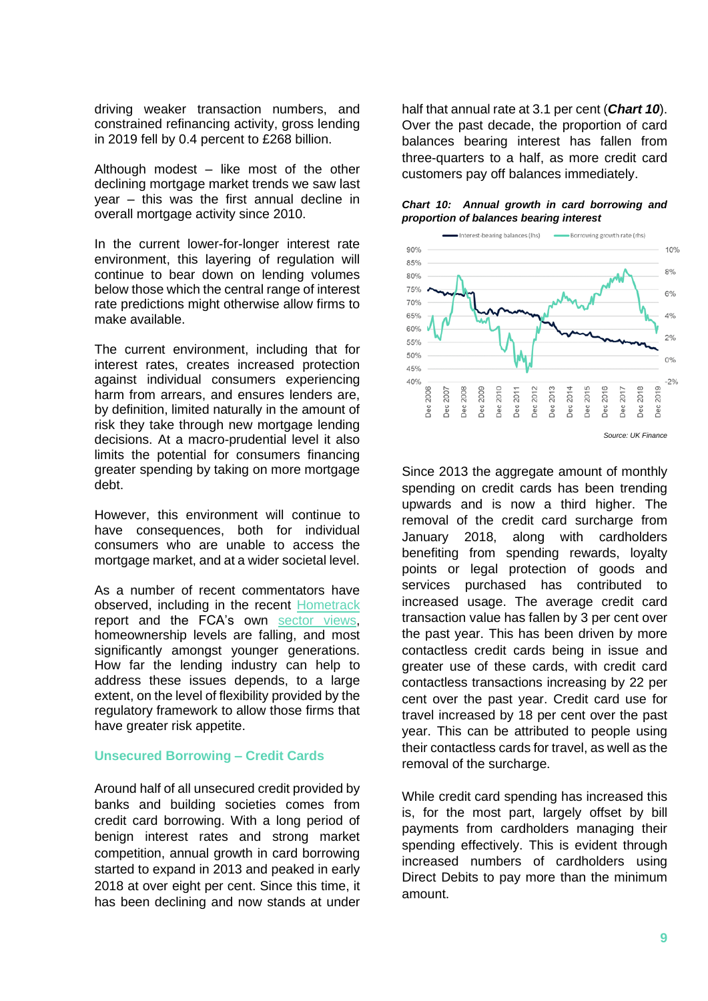driving weaker transaction numbers, and constrained refinancing activity, gross lending in 2019 fell by 0.4 percent to £268 billion.

Although modest – like most of the other declining mortgage market trends we saw last year – this was the first annual decline in overall mortgage activity since 2010.

In the current lower-for-longer interest rate environment, this layering of regulation will continue to bear down on lending volumes below those which the central range of interest rate predictions might otherwise allow firms to make available.

The current environment, including that for interest rates, creates increased protection against individual consumers experiencing harm from arrears, and ensures lenders are, by definition, limited naturally in the amount of risk they take through new mortgage lending decisions. At a macro-prudential level it also limits the potential for consumers financing greater spending by taking on more mortgage debt.

However, this environment will continue to have consequences, both for individual consumers who are unable to access the mortgage market, and at a wider societal level.

As a number of recent commentators have observed, including in the recent [Hometrack](https://www.ukfinance.org.uk/policy-and-guidance/reports-publications/changing-shape-uk-mortgage-market) report and the FCA's own [sector views,](https://www.fca.org.uk/publications/corporate-documents/sector-views-published-february-2020) homeownership levels are falling, and most significantly amongst younger generations. How far the lending industry can help to address these issues depends, to a large extent, on the level of flexibility provided by the regulatory framework to allow those firms that have greater risk appetite.

## **Unsecured Borrowing – Credit Cards**

Around half of all unsecured credit provided by banks and building societies comes from credit card borrowing. With a long period of benign interest rates and strong market competition, annual growth in card borrowing started to expand in 2013 and peaked in early 2018 at over eight per cent. Since this time, it has been declining and now stands at under

half that annual rate at 3.1 per cent (*Chart 10*). Over the past decade, the proportion of card balances bearing interest has fallen from three-quarters to a half, as more credit card customers pay off balances immediately.

#### *Chart 10: Annual growth in card borrowing and proportion of balances bearing interest*



Since 2013 the aggregate amount of monthly spending on credit cards has been trending upwards and is now a third higher. The removal of the credit card surcharge from January 2018, along with cardholders benefiting from spending rewards, loyalty points or legal protection of goods and services purchased has contributed to increased usage. The average credit card transaction value has fallen by 3 per cent over the past year. This has been driven by more contactless credit cards being in issue and greater use of these cards, with credit card contactless transactions increasing by 22 per cent over the past year. Credit card use for travel increased by 18 per cent over the past year. This can be attributed to people using their contactless cards for travel, as well as the removal of the surcharge.

While credit card spending has increased this is, for the most part, largely offset by bill payments from cardholders managing their spending effectively. This is evident through increased numbers of cardholders using Direct Debits to pay more than the minimum amount.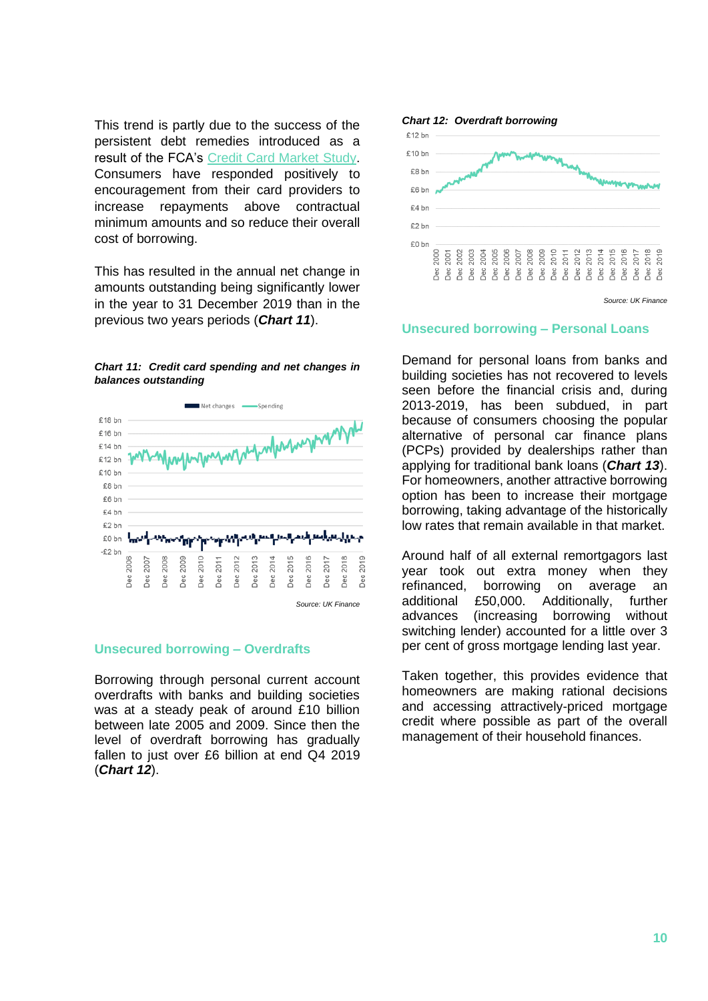This trend is partly due to the success of the persistent debt remedies introduced as a result of the FCA's [Credit Card Market Study.](https://www.fca.org.uk/firms/high-cost-credit-and-consumer-credit/credit-card-market-study) Consumers have responded positively to encouragement from their card providers to increase repayments above contractual minimum amounts and so reduce their overall cost of borrowing.

This has resulted in the annual net change in amounts outstanding being significantly lower in the year to 31 December 2019 than in the previous two years periods (*Chart 11*).





### **Unsecured borrowing – Overdrafts**

Borrowing through personal current account overdrafts with banks and building societies was at a steady peak of around £10 billion between late 2005 and 2009. Since then the level of overdraft borrowing has gradually fallen to just over £6 billion at end Q4 2019 (*Chart 12*).



*Source: UK Finance*

#### **Unsecured borrowing – Personal Loans**

Demand for personal loans from banks and building societies has not recovered to levels seen before the financial crisis and, during 2013-2019, has been subdued, in part because of consumers choosing the popular alternative of personal car finance plans (PCPs) provided by dealerships rather than applying for traditional bank loans (*Chart 13*). For homeowners, another attractive borrowing option has been to increase their mortgage borrowing, taking advantage of the historically low rates that remain available in that market.

Around half of all external remortgagors last year took out extra money when they refinanced, borrowing on average an additional £50,000. Additionally, further advances (increasing borrowing without switching lender) accounted for a little over 3 per cent of gross mortgage lending last year.

Taken together, this provides evidence that homeowners are making rational decisions and accessing attractively-priced mortgage credit where possible as part of the overall management of their household finances.